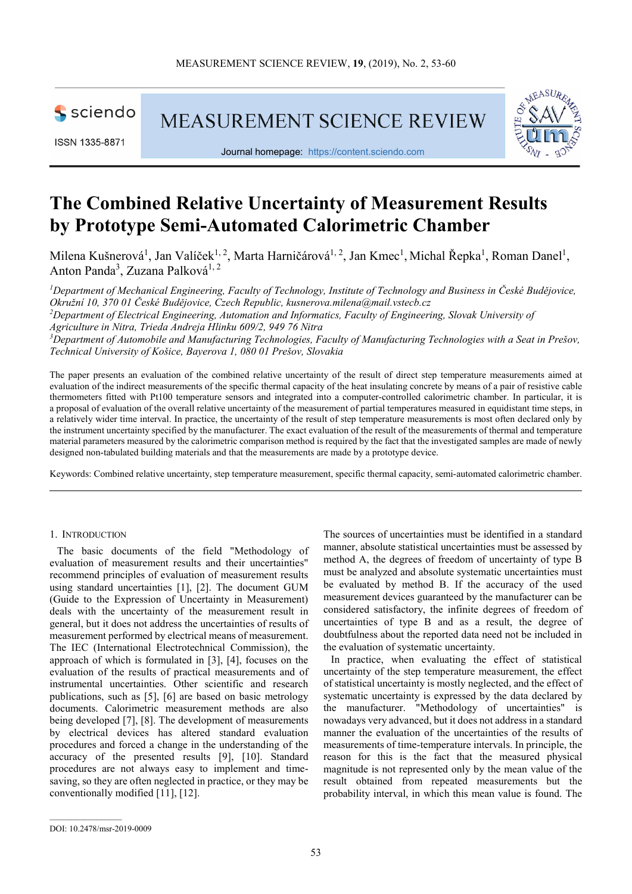

ISSN 1335-8871

**MEASUREMENT SCIENCE REVIEW** 



Journal homepage: https://content.sciendo.com

# **The Combined Relative Uncertainty of Measurement Results by Prototype Semi-Automated Calorimetric Chamber**

Milena Kušnerová<sup>1</sup>, Jan Valíček<sup>1, 2</sup>, Marta Harničárová<sup>1, 2</sup>, Jan Kmec<sup>1</sup>, Michal Řepka<sup>1</sup>, Roman Danel<sup>1</sup>, Anton Panda<sup>3</sup>, Zuzana Palková<sup>1, 2</sup>

*<sup>1</sup>Department of Mechanical Engineering, Faculty of Technology, Institute of Technology and Business in České Budějovice, Okružní 10, 370 01 České Budějovice, Czech Republic, kusnerova.milena@mail.vstecb.cz <sup>2</sup>Department of Electrical Engineering, Automation and Informatics, Faculty of Engineering, Slovak University of Agriculture in Nitra, Trieda Andreja Hlinku 609/2, 949 76 Nitra <sup>3</sup>Department of Automobile and Manufacturing Technologies, Faculty of Manufacturing Technologies with a Seat in Prešov, Technical University of Košice, Bayerova 1, 080 01 Prešov, Slovakia* 

The paper presents an evaluation of the combined relative uncertainty of the result of direct step temperature measurements aimed at evaluation of the indirect measurements of the specific thermal capacity of the heat insulating concrete by means of a pair of resistive cable thermometers fitted with Pt100 temperature sensors and integrated into a computer-controlled calorimetric chamber. In particular, it is a proposal of evaluation of the overall relative uncertainty of the measurement of partial temperatures measured in equidistant time steps, in a relatively wider time interval. In practice, the uncertainty of the result of step temperature measurements is most often declared only by the instrument uncertainty specified by the manufacturer. The exact evaluation of the result of the measurements of thermal and temperature material parameters measured by the calorimetric comparison method is required by the fact that the investigated samples are made of newly designed non-tabulated building materials and that the measurements are made by a prototype device.

Keywords: Combined relative uncertainty, step temperature measurement, specific thermal capacity, semi-automated calorimetric chamber.

#### 1. INTRODUCTION

The basic documents of the field "Methodology of evaluation of measurement results and their uncertainties" recommend principles of evaluation of measurement results using standard uncertainties [1], [2]. The document GUM (Guide to the Expression of Uncertainty in Measurement) deals with the uncertainty of the measurement result in general, but it does not address the uncertainties of results of measurement performed by electrical means of measurement. The IEC (International Electrotechnical Commission), the approach of which is formulated in [3], [4], focuses on the evaluation of the results of practical measurements and of instrumental uncertainties. Other scientific and research publications, such as [5], [6] are based on basic metrology documents. Calorimetric measurement methods are also being developed [7], [8]. The development of measurements by electrical devices has altered standard evaluation procedures and forced a change in the understanding of the accuracy of the presented results [9], [10]. Standard procedures are not always easy to implement and timesaving, so they are often neglected in practice, or they may be conventionally modified [11], [12].

The sources of uncertainties must be identified in a standard manner, absolute statistical uncertainties must be assessed by method A, the degrees of freedom of uncertainty of type B must be analyzed and absolute systematic uncertainties must be evaluated by method B. If the accuracy of the used measurement devices guaranteed by the manufacturer can be considered satisfactory, the infinite degrees of freedom of uncertainties of type B and as a result, the degree of doubtfulness about the reported data need not be included in the evaluation of systematic uncertainty.

In practice, when evaluating the effect of statistical uncertainty of the step temperature measurement, the effect of statistical uncertainty is mostly neglected, and the effect of systematic uncertainty is expressed by the data declared by the manufacturer. "Methodology of uncertainties" is nowadays very advanced, but it does not address in a standard manner the evaluation of the uncertainties of the results of measurements of time-temperature intervals. In principle, the reason for this is the fact that the measured physical magnitude is not represented only by the mean value of the result obtained from repeated measurements but the probability interval, in which this mean value is found. The

DOI: 10.2478/msr-2019-0009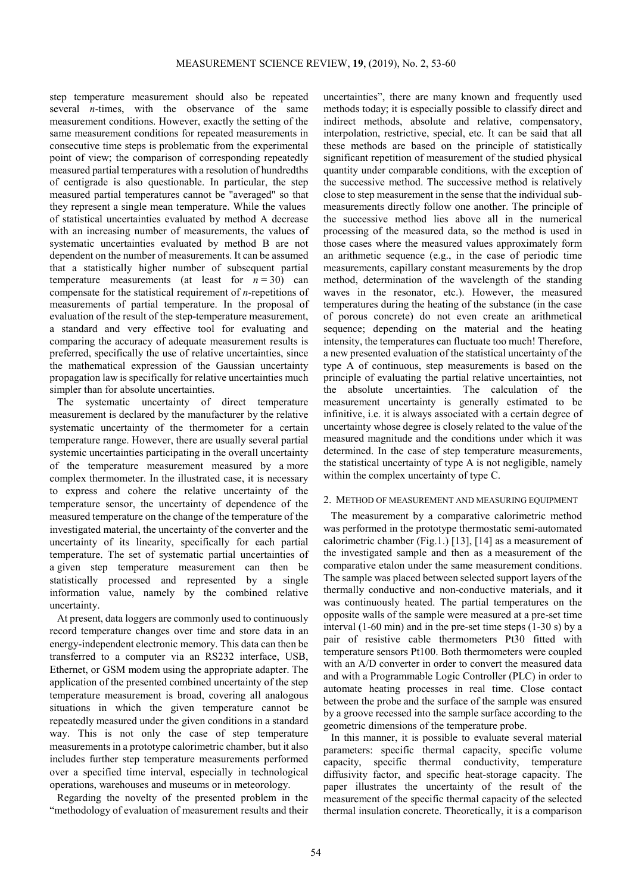step temperature measurement should also be repeated several *n*-times, with the observance of the same measurement conditions. However, exactly the setting of the same measurement conditions for repeated measurements in consecutive time steps is problematic from the experimental point of view; the comparison of corresponding repeatedly measured partial temperatures with a resolution of hundredths of centigrade is also questionable. In particular, the step measured partial temperatures cannot be "averaged" so that they represent a single mean temperature. While the values of statistical uncertainties evaluated by method A decrease with an increasing number of measurements, the values of systematic uncertainties evaluated by method B are not dependent on the number of measurements. It can be assumed that a statistically higher number of subsequent partial temperature measurements (at least for  $n = 30$ ) can compensate for the statistical requirement of *n*-repetitions of measurements of partial temperature. In the proposal of evaluation of the result of the step-temperature measurement, a standard and very effective tool for evaluating and comparing the accuracy of adequate measurement results is preferred, specifically the use of relative uncertainties, since the mathematical expression of the Gaussian uncertainty propagation law is specifically for relative uncertainties much simpler than for absolute uncertainties.

The systematic uncertainty of direct temperature measurement is declared by the manufacturer by the relative systematic uncertainty of the thermometer for a certain temperature range. However, there are usually several partial systemic uncertainties participating in the overall uncertainty of the temperature measurement measured by a more complex thermometer. In the illustrated case, it is necessary to express and cohere the relative uncertainty of the temperature sensor, the uncertainty of dependence of the measured temperature on the change of the temperature of the investigated material, the uncertainty of the converter and the uncertainty of its linearity, specifically for each partial temperature. The set of systematic partial uncertainties of a given step temperature measurement can then be statistically processed and represented by a single information value, namely by the combined relative uncertainty.

At present, data loggers are commonly used to continuously record temperature changes over time and store data in an energy-independent electronic memory. This data can then be transferred to a computer via an RS232 interface, USB, Ethernet, or GSM modem using the appropriate adapter. The application of the presented combined uncertainty of the step temperature measurement is broad, covering all analogous situations in which the given temperature cannot be repeatedly measured under the given conditions in a standard way. This is not only the case of step temperature measurements in a prototype calorimetric chamber, but it also includes further step temperature measurements performed over a specified time interval, especially in technological operations, warehouses and museums or in meteorology.

Regarding the novelty of the presented problem in the "methodology of evaluation of measurement results and their uncertainties", there are many known and frequently used methods today; it is especially possible to classify direct and indirect methods, absolute and relative, compensatory, interpolation, restrictive, special, etc. It can be said that all these methods are based on the principle of statistically significant repetition of measurement of the studied physical quantity under comparable conditions, with the exception of the successive method. The successive method is relatively close to step measurement in the sense that the individual submeasurements directly follow one another. The principle of the successive method lies above all in the numerical processing of the measured data, so the method is used in those cases where the measured values approximately form an arithmetic sequence (e.g., in the case of periodic time measurements, capillary constant measurements by the drop method, determination of the wavelength of the standing waves in the resonator, etc.). However, the measured temperatures during the heating of the substance (in the case of porous concrete) do not even create an arithmetical sequence; depending on the material and the heating intensity, the temperatures can fluctuate too much! Therefore, a new presented evaluation of the statistical uncertainty of the type A of continuous, step measurements is based on the principle of evaluating the partial relative uncertainties, not the absolute uncertainties. The calculation of the measurement uncertainty is generally estimated to be infinitive, i.e. it is always associated with a certain degree of uncertainty whose degree is closely related to the value of the measured magnitude and the conditions under which it was determined. In the case of step temperature measurements, the statistical uncertainty of type A is not negligible, namely within the complex uncertainty of type C.

#### 2. METHOD OF MEASUREMENT AND MEASURING EQUIPMENT

The measurement by a comparative calorimetric method was performed in the prototype thermostatic semi-automated calorimetric chamber (Fig.1.) [13], [14] as a measurement of the investigated sample and then as a measurement of the comparative etalon under the same measurement conditions. The sample was placed between selected support layers of the thermally conductive and non-conductive materials, and it was continuously heated. The partial temperatures on the opposite walls of the sample were measured at a pre-set time interval (1-60 min) and in the pre-set time steps (1-30 s) by a pair of resistive cable thermometers Pt30 fitted with temperature sensors Pt100. Both thermometers were coupled with an A/D converter in order to convert the measured data and with a Programmable Logic Controller (PLC) in order to automate heating processes in real time. Close contact between the probe and the surface of the sample was ensured by a groove recessed into the sample surface according to the geometric dimensions of the temperature probe.

In this manner, it is possible to evaluate several material parameters: specific thermal capacity, specific volume capacity, specific thermal conductivity, temperature diffusivity factor, and specific heat-storage capacity. The paper illustrates the uncertainty of the result of the measurement of the specific thermal capacity of the selected thermal insulation concrete. Theoretically, it is a comparison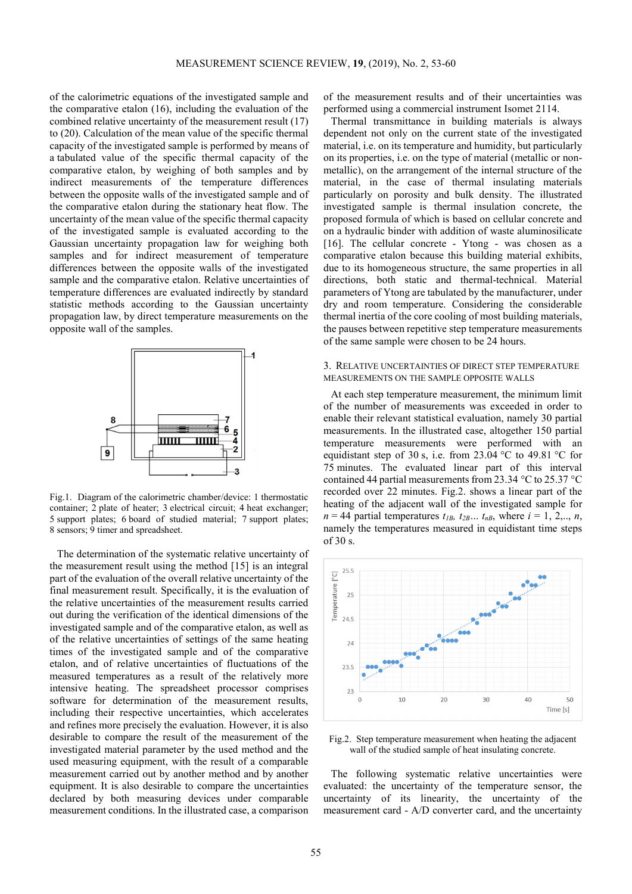of the calorimetric equations of the investigated sample and the comparative etalon (16), including the evaluation of the combined relative uncertainty of the measurement result (17) to (20). Calculation of the mean value of the specific thermal capacity of the investigated sample is performed by means of a tabulated value of the specific thermal capacity of the comparative etalon, by weighing of both samples and by indirect measurements of the temperature differences between the opposite walls of the investigated sample and of the comparative etalon during the stationary heat flow. The uncertainty of the mean value of the specific thermal capacity of the investigated sample is evaluated according to the Gaussian uncertainty propagation law for weighing both samples and for indirect measurement of temperature differences between the opposite walls of the investigated sample and the comparative etalon. Relative uncertainties of temperature differences are evaluated indirectly by standard statistic methods according to the Gaussian uncertainty propagation law, by direct temperature measurements on the opposite wall of the samples.



Fig.1. Diagram of the calorimetric chamber/device: 1 thermostatic container; 2 plate of heater; 3 electrical circuit; 4 heat exchanger; 5 support plates; 6 board of studied material; 7 support plates; 8 sensors; 9 timer and spreadsheet.

The determination of the systematic relative uncertainty of the measurement result using the method [15] is an integral part of the evaluation of the overall relative uncertainty of the final measurement result. Specifically, it is the evaluation of the relative uncertainties of the measurement results carried out during the verification of the identical dimensions of the investigated sample and of the comparative etalon, as well as of the relative uncertainties of settings of the same heating times of the investigated sample and of the comparative etalon, and of relative uncertainties of fluctuations of the measured temperatures as a result of the relatively more intensive heating. The spreadsheet processor comprises software for determination of the measurement results, including their respective uncertainties, which accelerates and refines more precisely the evaluation. However, it is also desirable to compare the result of the measurement of the investigated material parameter by the used method and the used measuring equipment, with the result of a comparable measurement carried out by another method and by another equipment. It is also desirable to compare the uncertainties declared by both measuring devices under comparable measurement conditions. In the illustrated case, a comparison

of the measurement results and of their uncertainties was performed using a commercial instrument Isomet 2114.

Thermal transmittance in building materials is always dependent not only on the current state of the investigated material, i.e. on its temperature and humidity, but particularly on its properties, i.e. on the type of material (metallic or nonmetallic), on the arrangement of the internal structure of the material, in the case of thermal insulating materials particularly on porosity and bulk density. The illustrated investigated sample is thermal insulation concrete, the proposed formula of which is based on cellular concrete and on a hydraulic binder with addition of waste aluminosilicate [16]. The cellular concrete - Ytong - was chosen as a comparative etalon because this building material exhibits, due to its homogeneous structure, the same properties in all directions, both static and thermal-technical. Material parameters of Ytong are tabulated by the manufacturer, under dry and room temperature. Considering the considerable thermal inertia of the core cooling of most building materials, the pauses between repetitive step temperature measurements of the same sample were chosen to be 24 hours.

# 3. RELATIVE UNCERTAINTIES OF DIRECT STEP TEMPERATURE MEASUREMENTS ON THE SAMPLE OPPOSITE WALLS

At each step temperature measurement, the minimum limit of the number of measurements was exceeded in order to enable their relevant statistical evaluation, namely 30 partial measurements. In the illustrated case, altogether 150 partial temperature measurements were performed with an equidistant step of 30 s, i.e. from 23.04 °C to 49.81 °C for 75 minutes. The evaluated linear part of this interval contained 44 partial measurements from 23.34 °C to 25.37 °C recorded over 22 minutes. Fig.2. shows a linear part of the heating of the adjacent wall of the investigated sample for  $n = 44$  partial temperatures  $t_{IB}$ ,  $t_{2B}$ ...,  $t_{nB}$ , where  $i = 1, 2, \ldots, n$ , namely the temperatures measured in equidistant time steps of 30 s.



Fig.2. Step temperature measurement when heating the adjacent wall of the studied sample of heat insulating concrete.

The following systematic relative uncertainties were evaluated: the uncertainty of the temperature sensor, the uncertainty of its linearity, the uncertainty of the measurement card - A/D converter card, and the uncertainty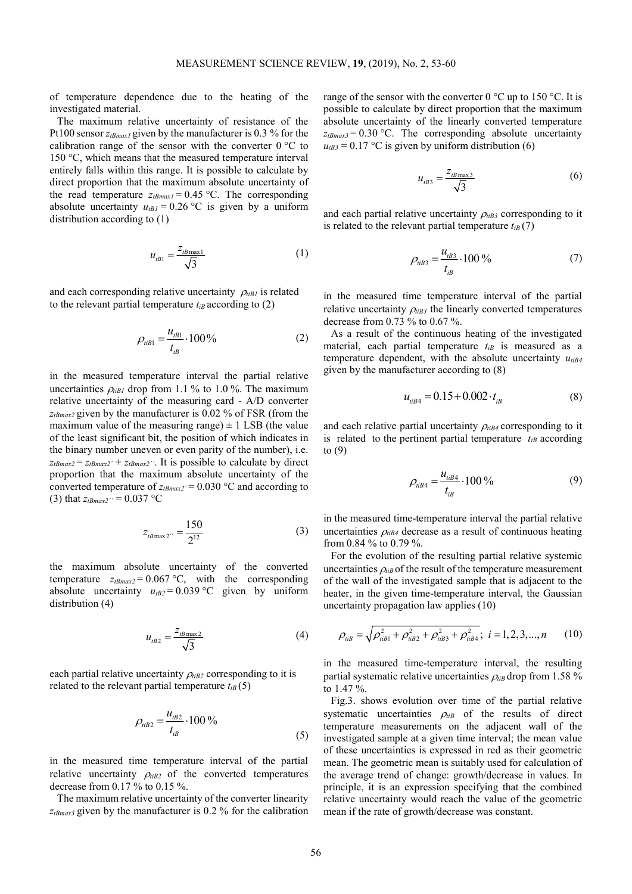of temperature dependence due to the heating of the investigated material.

The maximum relative uncertainty of resistance of the Pt100 sensor *ztBmax1* given by the manufacturer is 0.3 % for the calibration range of the sensor with the converter  $0^{\circ}$ C to 150 °C, which means that the measured temperature interval entirely falls within this range. It is possible to calculate by direct proportion that the maximum absolute uncertainty of the read temperature  $z_{tBmax1} = 0.45$  °C. The corresponding absolute uncertainty  $u_{tBI} = 0.26 \degree C$  is given by a uniform distribution according to (1)

$$
u_{tB1} = \frac{z_{tB\,\text{max1}}}{\sqrt{3}}\tag{1}
$$

and each corresponding relative uncertainty  $\rho_{tiB1}$  is related to the relevant partial temperature  $t_{iB}$  according to (2)

$$
\rho_{iiB1} = \frac{u_{iB1}}{t_{iB}} \cdot 100\% \tag{2}
$$

in the measured temperature interval the partial relative uncertainties  $\rho_{tIBI}$  drop from 1.1 % to 1.0 %. The maximum relative uncertainty of the measuring card - A/D converter *ztBmax2* given by the manufacturer is 0.02 % of FSR (from the maximum value of the measuring range)  $\pm$  1 LSB (the value of the least significant bit, the position of which indicates in the binary number uneven or even parity of the number), i.e.  $z_{tBmax2} = z_{tBmax2'} + z_{tBmax2''}$ . It is possible to calculate by direct proportion that the maximum absolute uncertainty of the converted temperature of  $z_{tBmax2'} = 0.030$  °C and according to (3) that  $z_{tBmax2}$ <sup>\*</sup> = 0.037 °C

$$
z_{tB\max 2} = \frac{150}{2^{12}}\tag{3}
$$

the maximum absolute uncertainty of the converted temperature  $z_{tBmax2}$  = 0.067 °C, with the corresponding absolute uncertainty  $u_{tB2} = 0.039$  °C given by uniform distribution (4)

$$
u_{\iota\beta 2} = \frac{z_{\iota\beta \max 2}}{\sqrt{3}}\tag{4}
$$

each partial relative uncertainty  $\rho_{t}$ <sub>*iB2*</sub> corresponding to it is related to the relevant partial temperature  $t_{iB}(5)$ 

$$
\rho_{\text{til2}} = \frac{u_{\text{dB2}}}{t_{\text{dB}}} \cdot 100\,\%
$$
\n(5)

in the measured time temperature interval of the partial relative uncertainty  $\rho_{\text{tB2}}$  of the converted temperatures decrease from 0.17 % to 0.15 %.

The maximum relative uncertainty of the converter linearity  $z_{tBmax3}$  given by the manufacturer is 0.2 % for the calibration range of the sensor with the converter  $0^{\circ}$ C up to 150 °C. It is possible to calculate by direct proportion that the maximum absolute uncertainty of the linearly converted temperature  $z_{tBmax3}$  = 0.30 °C. The corresponding absolute uncertainty  $u$ <sub>*tB3*</sub> = 0.17 °C is given by uniform distribution (6)

$$
u_{\mu 3} = \frac{z_{\mu B \max 3}}{\sqrt{3}}
$$
 (6)

and each partial relative uncertainty  $\rho_{t}$ <sub>*iB3*</sub> corresponding to it is related to the relevant partial temperature  $t_{iB}(7)$ 

$$
\rho_{iiB3} = \frac{u_{iB3}}{t_{iB}} \cdot 100\,\%
$$
\n(7)

in the measured time temperature interval of the partial relative uncertainty  $\rho_{ijk3}$  the linearly converted temperatures decrease from 0.73 % to 0.67 %.

As a result of the continuous heating of the investigated material, each partial temperature  $t_{iB}$  is measured as a temperature dependent, with the absolute uncertainty  $u_{tiB4}$ given by the manufacturer according to (8)

$$
u_{iiB4} = 0.15 + 0.002 \cdot t_{iB} \tag{8}
$$

and each relative partial uncertainty  $\rho_{ijk4}$  corresponding to it is related to the pertinent partial temperature  $t_{iB}$  according to (9)

$$
\rho_{iiB4} = \frac{u_{iiB4}}{t_{iB}} \cdot 100\% \tag{9}
$$

in the measured time-temperature interval the partial relative uncertainties  $\rho_{ijk4}$  decrease as a result of continuous heating from 0.84 % to 0.79 %.

For the evolution of the resulting partial relative systemic uncertainties  $\rho_{ijk}$  of the result of the temperature measurement of the wall of the investigated sample that is adjacent to the heater, in the given time-temperature interval, the Gaussian uncertainty propagation law applies (10)

$$
\rho_{iiB} = \sqrt{\rho_{iiB1}^2 + \rho_{iiB2}^2 + \rho_{iiB3}^2 + \rho_{iiB4}^2}; \ \ i = 1, 2, 3, ..., n \qquad (10)
$$

in the measured time-temperature interval, the resulting partial systematic relative uncertainties  $\rho_{t}$  drop from 1.58 % to 1.47 %.

Fig.3. shows evolution over time of the partial relative systematic uncertainties  $\rho_{tiB}$  of the results of direct temperature measurements on the adjacent wall of the investigated sample at a given time interval; the mean value of these uncertainties is expressed in red as their geometric mean. The geometric mean is suitably used for calculation of the average trend of change: growth/decrease in values. In principle, it is an expression specifying that the combined relative uncertainty would reach the value of the geometric mean if the rate of growth/decrease was constant.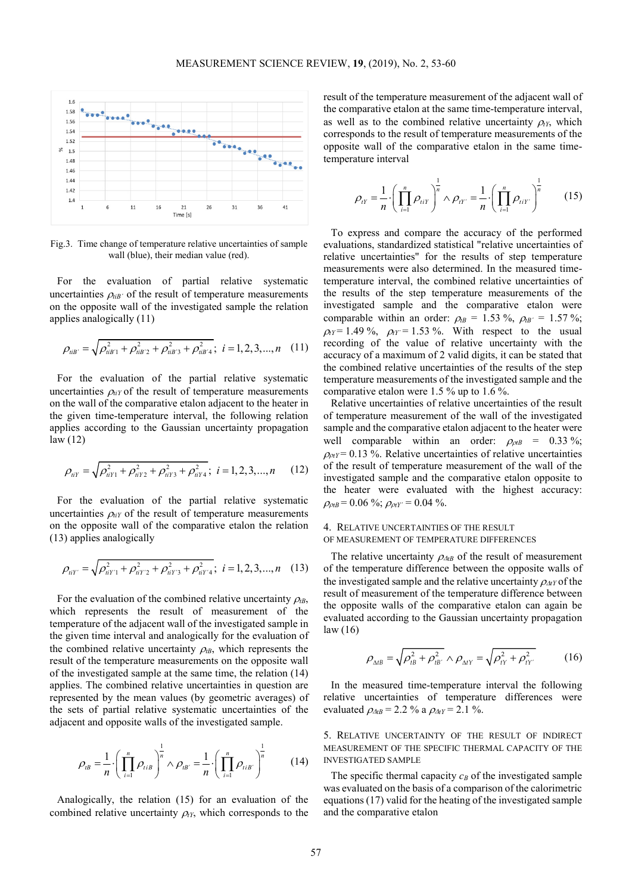

Fig.3. Time change of temperature relative uncertainties of sample wall (blue), their median value (red).

For the evaluation of partial relative systematic uncertainties  $\rho_{\text{tib}}$  of the result of temperature measurements on the opposite wall of the investigated sample the relation applies analogically (11)

$$
\rho_{iIB'} = \sqrt{\rho_{iIB'1}^2 + \rho_{iIB'2}^2 + \rho_{iIB'3}^2 + \rho_{iIB'4}^2}; \ i = 1, 2, 3, ..., n \quad (11)
$$

For the evaluation of the partial relative systematic uncertainties  $\rho_{iiY}$  of the result of temperature measurements on the wall of the comparative etalon adjacent to the heater in the given time-temperature interval, the following relation applies according to the Gaussian uncertainty propagation law (12)

$$
\rho_{iiY} = \sqrt{\rho_{iiY1}^2 + \rho_{iiY2}^2 + \rho_{iiY3}^2 + \rho_{iiY4}^2}; \ i = 1, 2, 3, ..., n \qquad (12)
$$

For the evaluation of the partial relative systematic uncertainties  $\rho_{iiY}$  of the result of temperature measurements on the opposite wall of the comparative etalon the relation (13) applies analogically

$$
\rho_{iiY'} = \sqrt{\rho_{iiY1}^2 + \rho_{iiY2}^2 + \rho_{iiY3}^2 + \rho_{iiY4}^2}; \ i = 1, 2, 3, ..., n \quad (13)
$$

For the evaluation of the combined relative uncertainty  $\rho_{\text{LB}}$ , which represents the result of measurement of the temperature of the adjacent wall of the investigated sample in the given time interval and analogically for the evaluation of the combined relative uncertainty  $\rho_{\beta}$ , which represents the result of the temperature measurements on the opposite wall of the investigated sample at the same time, the relation (14) applies. The combined relative uncertainties in question are represented by the mean values (by geometric averages) of the sets of partial relative systematic uncertainties of the adjacent and opposite walls of the investigated sample.

$$
\rho_{\scriptscriptstyle IB} = \frac{1}{n} \cdot \left( \prod_{i=1}^n \rho_{\scriptscriptstyle tib} \right)^{\frac{1}{n}} \wedge \rho_{\scriptscriptstyle IB'} = \frac{1}{n} \cdot \left( \prod_{i=1}^n \rho_{\scriptscriptstyle tib'} \right)^{\frac{1}{n}} \qquad (14)
$$

Analogically, the relation (15) for an evaluation of the combined relative uncertainty  $\rho_{tY}$ , which corresponds to the result of the temperature measurement of the adjacent wall of the comparative etalon at the same time-temperature interval, as well as to the combined relative uncertainty  $\rho$ <sub>t</sub>y, which corresponds to the result of temperature measurements of the opposite wall of the comparative etalon in the same timetemperature interval

$$
\rho_{tY} = \frac{1}{n} \cdot \left( \prod_{i=1}^{n} \rho_{tiY} \right)^{\frac{1}{n}} \wedge \rho_{tY} = \frac{1}{n} \cdot \left( \prod_{i=1}^{n} \rho_{tiY} \right)^{\frac{1}{n}} \qquad (15)
$$

To express and compare the accuracy of the performed evaluations, standardized statistical "relative uncertainties of relative uncertainties" for the results of step temperature measurements were also determined. In the measured timetemperature interval, the combined relative uncertainties of the results of the step temperature measurements of the investigated sample and the comparative etalon were comparable within an order:  $\rho_{\text{tB}} = 1.53 \%$ ,  $\rho_{\text{tB}} = 1.57 \%$ ;  $\rho_f = 1.49 \%$ ,  $\rho_f = 1.53 \%$ . With respect to the usual recording of the value of relative uncertainty with the accuracy of a maximum of 2 valid digits, it can be stated that the combined relative uncertainties of the results of the step temperature measurements of the investigated sample and the comparative etalon were 1.5 % up to 1.6 %.

Relative uncertainties of relative uncertainties of the result of temperature measurement of the wall of the investigated sample and the comparative etalon adjacent to the heater were well comparable within an order:  $\rho_{ptB} = 0.33 \%$ ;  $\rho_{\text{pr}}$  = 0.13 %. Relative uncertainties of relative uncertainties of the result of temperature measurement of the wall of the investigated sample and the comparative etalon opposite to the heater were evaluated with the highest accuracy:  $\rho_{\rho tB}$  = 0.06 %;  $\rho_{\rho tY}$ <sup>'</sup> = 0.04 %.

## 4. RELATIVE UNCERTAINTIES OF THE RESULT OF MEASUREMENT OF TEMPERATURE DIFFERENCES

The relative uncertainty  $\rho_{\Delta t}$  of the result of measurement of the temperature difference between the opposite walls of the investigated sample and the relative uncertainty <sup>ρ</sup>∆*tY* of the result of measurement of the temperature difference between the opposite walls of the comparative etalon can again be evaluated according to the Gaussian uncertainty propagation law (16)

$$
\rho_{\Delta t} = \sqrt{\rho_{tB}^2 + \rho_{tB'}^2} \wedge \rho_{\Delta tY} = \sqrt{\rho_{tY}^2 + \rho_{tY'}^2}
$$
 (16)

In the measured time-temperature interval the following relative uncertainties of temperature differences were evaluated  $\rho_{\Delta tB} = 2.2 \%$  a  $\rho_{\Delta tY} = 2.1 \%$ .

5. RELATIVE UNCERTAINTY OF THE RESULT OF INDIRECT MEASUREMENT OF THE SPECIFIC THERMAL CAPACITY OF THE INVESTIGATED SAMPLE

The specific thermal capacity  $c_B$  of the investigated sample was evaluated on the basis of a comparison of the calorimetric equations (17) valid for the heating of the investigated sample and the comparative etalon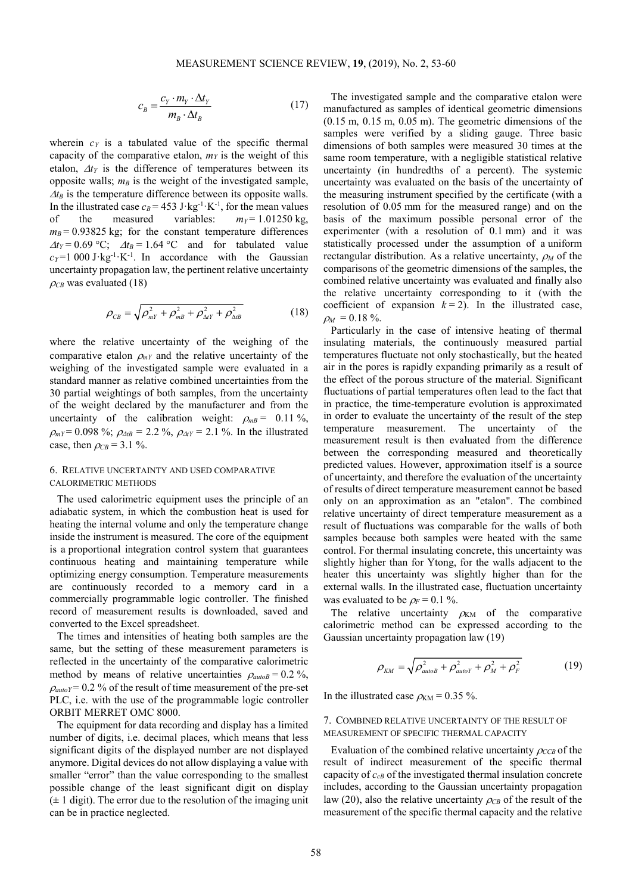$$
c_B = \frac{c_Y \cdot m_Y \cdot \Delta t_Y}{m_B \cdot \Delta t_B} \tag{17}
$$

wherein  $c_Y$  is a tabulated value of the specific thermal capacity of the comparative etalon,  $m<sub>Y</sub>$  is the weight of this etalon, ∆*tY* is the difference of temperatures between its opposite walls;  $m_B$  is the weight of the investigated sample,  $\Delta t_B$  is the temperature difference between its opposite walls. In the illustrated case  $c_B$  = 453 J·kg<sup>-1</sup>·K<sup>-1</sup>, for the mean values of the measured variables:  $m<sub>Y</sub> = 1.01250$  kg,  $m_B$  = 0.93825 kg; for the constant temperature differences  $\Delta t_Y = 0.69$  °C;  $\Delta t_B = 1.64$  °C and for tabulated value  $c_Y$ =1 000 J·kg<sup>-1</sup>·K<sup>-1</sup>. In accordance with the Gaussian uncertainty propagation law, the pertinent relative uncertainty  $\rho_{CB}$  was evaluated (18)

$$
\rho_{CB} = \sqrt{\rho_{mY}^2 + \rho_{mB}^2 + \rho_{\Delta tY}^2 + \rho_{\Delta tB}^2}
$$
 (18)

where the relative uncertainty of the weighing of the comparative etalon  $\rho_{mY}$  and the relative uncertainty of the weighing of the investigated sample were evaluated in a standard manner as relative combined uncertainties from the 30 partial weightings of both samples, from the uncertainty of the weight declared by the manufacturer and from the uncertainty of the calibration weight:  $\rho_{mB} = 0.11 \%$ ,  $\rho_{mY} = 0.098 \%$ ;  $\rho_{\Delta tB} = 2.2 \%$ ,  $\rho_{\Delta tY} = 2.1 \%$ . In the illustrated case, then  $\rho_{CB} = 3.1 \%$ .

## 6. RELATIVE UNCERTAINTY AND USED COMPARATIVE CALORIMETRIC METHODS

The used calorimetric equipment uses the principle of an adiabatic system, in which the combustion heat is used for heating the internal volume and only the temperature change inside the instrument is measured. The core of the equipment is a proportional integration control system that guarantees continuous heating and maintaining temperature while optimizing energy consumption. Temperature measurements are continuously recorded to a memory card in a commercially programmable logic controller. The finished record of measurement results is downloaded, saved and converted to the Excel spreadsheet.

The times and intensities of heating both samples are the same, but the setting of these measurement parameters is reflected in the uncertainty of the comparative calorimetric method by means of relative uncertainties  $\rho_{autoB} = 0.2 \%$ ,  $\rho_{\text{auto}} = 0.2$  % of the result of time measurement of the pre-set PLC, i.e. with the use of the programmable logic controller ORBIT MERRET OMC 8000.

The equipment for data recording and display has a limited number of digits, i.e. decimal places, which means that less significant digits of the displayed number are not displayed anymore. Digital devices do not allow displaying a value with smaller "error" than the value corresponding to the smallest possible change of the least significant digit on display  $(\pm 1$  digit). The error due to the resolution of the imaging unit can be in practice neglected.

The investigated sample and the comparative etalon were manufactured as samples of identical geometric dimensions (0.15 m, 0.15 m, 0.05 m). The geometric dimensions of the samples were verified by a sliding gauge. Three basic dimensions of both samples were measured 30 times at the same room temperature, with a negligible statistical relative uncertainty (in hundredths of a percent). The systemic uncertainty was evaluated on the basis of the uncertainty of the measuring instrument specified by the certificate (with a resolution of 0.05 mm for the measured range) and on the basis of the maximum possible personal error of the experimenter (with a resolution of 0.1 mm) and it was statistically processed under the assumption of a uniform rectangular distribution. As a relative uncertainty, <sup>ρ</sup>*M* of the comparisons of the geometric dimensions of the samples, the combined relative uncertainty was evaluated and finally also the relative uncertainty corresponding to it (with the coefficient of expansion  $k = 2$ ). In the illustrated case,  $\rho_M = 0.18 \%$ .

Particularly in the case of intensive heating of thermal insulating materials, the continuously measured partial temperatures fluctuate not only stochastically, but the heated air in the pores is rapidly expanding primarily as a result of the effect of the porous structure of the material. Significant fluctuations of partial temperatures often lead to the fact that in practice, the time-temperature evolution is approximated in order to evaluate the uncertainty of the result of the step temperature measurement. The uncertainty of the measurement result is then evaluated from the difference between the corresponding measured and theoretically predicted values. However, approximation itself is a source of uncertainty, and therefore the evaluation of the uncertainty of results of direct temperature measurement cannot be based only on an approximation as an "etalon". The combined relative uncertainty of direct temperature measurement as a result of fluctuations was comparable for the walls of both samples because both samples were heated with the same control. For thermal insulating concrete, this uncertainty was slightly higher than for Ytong, for the walls adjacent to the heater this uncertainty was slightly higher than for the external walls. In the illustrated case, fluctuation uncertainty was evaluated to be  $\rho_F = 0.1$  %.

The relative uncertainty  $\rho_{KM}$  of the comparative calorimetric method can be expressed according to the Gaussian uncertainty propagation law (19)

$$
\rho_{KM} = \sqrt{\rho_{autoB}^2 + \rho_{autoY}^2 + \rho_M^2 + \rho_F^2}
$$
 (19)

In the illustrated case  $\rho_{KM} = 0.35 \%$ .

## 7. COMBINED RELATIVE UNCERTAINTY OF THE RESULT OF MEASUREMENT OF SPECIFIC THERMAL CAPACITY

Evaluation of the combined relative uncertainty  $\rho_{CCB}$  of the result of indirect measurement of the specific thermal capacity of  $c_{cB}$  of the investigated thermal insulation concrete includes, according to the Gaussian uncertainty propagation law (20), also the relative uncertainty  $\rho_{CB}$  of the result of the measurement of the specific thermal capacity and the relative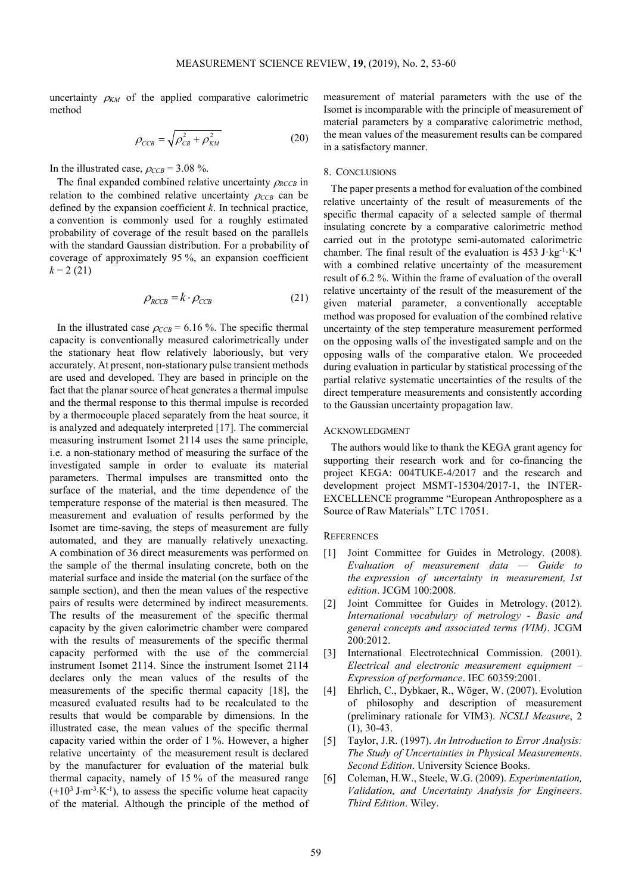uncertainty  $\rho_{KM}$  of the applied comparative calorimetric method

$$
\rho_{\text{CCB}} = \sqrt{\rho_{\text{CB}}^2 + \rho_{\text{KM}}^2}
$$
\n(20)

In the illustrated case,  $\rho_{CCB} = 3.08 \%$ .

The final expanded combined relative uncertainty <sup>ρ</sup>*RCCB* in relation to the combined relative uncertainty  $\rho_{CCB}$  can be defined by the expansion coefficient *k*. In technical practice, a convention is commonly used for a roughly estimated probability of coverage of the result based on the parallels with the standard Gaussian distribution. For a probability of coverage of approximately 95 %, an expansion coefficient  $k = 2(21)$ 

$$
\rho_{RCCB} = k \cdot \rho_{CCB} \tag{21}
$$

In the illustrated case  $\rho_{CCB} = 6.16$  %. The specific thermal capacity is conventionally measured calorimetrically under the stationary heat flow relatively laboriously, but very accurately. At present, non-stationary pulse transient methods are used and developed. They are based in principle on the fact that the planar source of heat generates a thermal impulse and the thermal response to this thermal impulse is recorded by a thermocouple placed separately from the heat source, it is analyzed and adequately interpreted [17]. The commercial measuring instrument Isomet 2114 uses the same principle, i.e. a non-stationary method of measuring the surface of the investigated sample in order to evaluate its material parameters. Thermal impulses are transmitted onto the surface of the material, and the time dependence of the temperature response of the material is then measured. The measurement and evaluation of results performed by the Isomet are time-saving, the steps of measurement are fully automated, and they are manually relatively unexacting. A combination of 36 direct measurements was performed on the sample of the thermal insulating concrete, both on the material surface and inside the material (on the surface of the sample section), and then the mean values of the respective pairs of results were determined by indirect measurements. The results of the measurement of the specific thermal capacity by the given calorimetric chamber were compared with the results of measurements of the specific thermal capacity performed with the use of the commercial instrument Isomet 2114. Since the instrument Isomet 2114 declares only the mean values of the results of the measurements of the specific thermal capacity [18], the measured evaluated results had to be recalculated to the results that would be comparable by dimensions. In the illustrated case, the mean values of the specific thermal capacity varied within the order of 1 %. However, a higher relative uncertainty of the measurement result is declared by the manufacturer for evaluation of the material bulk thermal capacity, namely of 15 % of the measured range  $(+10^3 \text{ J} \cdot \text{m}^{-3} \cdot \text{K}^{-1})$ , to assess the specific volume heat capacity of the material. Although the principle of the method of

measurement of material parameters with the use of the Isomet is incomparable with the principle of measurement of material parameters by a comparative calorimetric method, the mean values of the measurement results can be compared in a satisfactory manner.

### 8. CONCLUSIONS

The paper presents a method for evaluation of the combined relative uncertainty of the result of measurements of the specific thermal capacity of a selected sample of thermal insulating concrete by a comparative calorimetric method carried out in the prototype semi-automated calorimetric chamber. The final result of the evaluation is  $453 \text{ J·kg}^{-1} \text{·K}^{-1}$ with a combined relative uncertainty of the measurement result of 6.2 %. Within the frame of evaluation of the overall relative uncertainty of the result of the measurement of the given material parameter, a conventionally acceptable method was proposed for evaluation of the combined relative uncertainty of the step temperature measurement performed on the opposing walls of the investigated sample and on the opposing walls of the comparative etalon. We proceeded during evaluation in particular by statistical processing of the partial relative systematic uncertainties of the results of the direct temperature measurements and consistently according to the Gaussian uncertainty propagation law.

#### ACKNOWLEDGMENT

The authors would like to thank the KEGA grant agency for supporting their research work and for co-financing the project KEGA: 004TUKE-4/2017 and the research and development project MSMT-15304/2017-1, the INTER-EXCELLENCE programme "European Anthroposphere as a Source of Raw Materials" LTC 17051.

## **REFERENCES**

- [1] Joint Committee for Guides in Metrology. (2008). *Evaluation of measurement data — Guide to the expression of uncertainty in measurement, 1st edition*. JCGM 100:2008.
- [2] Joint Committee for Guides in Metrology. (2012). *International vocabulary of metrology - Basic and general concepts and associated terms (VIM)*. JCGM 200:2012.
- [3] International Electrotechnical Commission. (2001). *Electrical and electronic measurement equipment – Expression of performance*. IEC 60359:2001.
- [4] Ehrlich, C., Dybkaer, R., Wöger, W. (2007). Evolution of philosophy and description of measurement (preliminary rationale for VIM3). *NCSLI Measure*, 2 (1), 30-43.
- [5] Taylor, J.R. (1997). *An Introduction to Error Analysis: The Study of Uncertainties in Physical Measurements*. *Second Edition*. University Science Books.
- [6] Coleman, H.W., Steele, W.G. (2009). *Experimentation, Validation, and Uncertainty Analysis for Engineers*. *Third Edition*. Wiley.